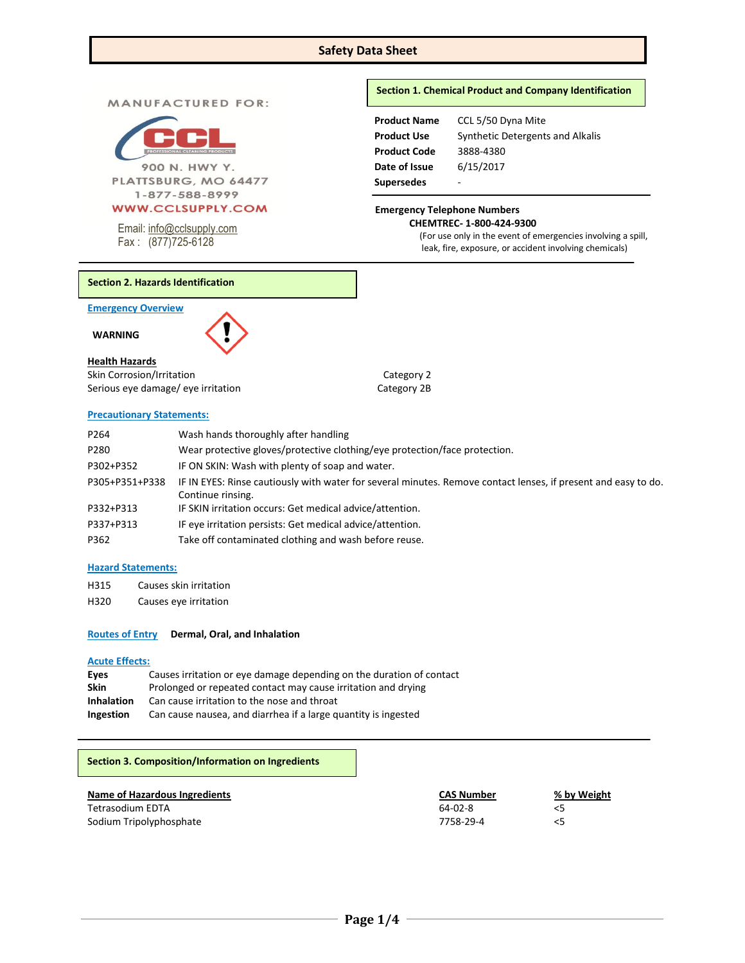# **Safety Data Sheet**

**MANUFACTURED FOR:** 



900 N. HWY Y. PLATTSBURG, MO 64477 1-877-588-8999

# **WWW.CCLSUPPLY.COM**

Email: [info@cclsupply.com](mailto:info@cclsupply.com) Fax : (877)725-6128

# **Section 1. Chemical Product and Company Identification**

| <b>Product Name</b> | CCL 5/50 Dyna Mite               |
|---------------------|----------------------------------|
| <b>Product Use</b>  | Synthetic Detergents and Alkalis |
| <b>Product Code</b> | 3888-4380                        |
| Date of Issue       | 6/15/2017                        |
| <b>Supersedes</b>   |                                  |

# **Emergency Telephone Numbers CHEMTREC- 1-800-424-9300**

(For use only in the event of emergencies involving a spill, leak, fire, exposure, or accident involving chemicals)

### **Section 2. Hazards Identification**

**Emergency Overview** 

 **WARNING** 



# **Health Hazards**

Skin Corrosion/Irritation Category 2 Serious eye damage/ eye irritation Category 2B

# **Precautionary Statements:**

| P <sub>264</sub> | Wash hands thoroughly after handling                                                                           |
|------------------|----------------------------------------------------------------------------------------------------------------|
| P280             | Wear protective gloves/protective clothing/eye protection/face protection.                                     |
| P302+P352        | IF ON SKIN: Wash with plenty of soap and water.                                                                |
| P305+P351+P338   | IF IN EYES: Rinse cautiously with water for several minutes. Remove contact lenses, if present and easy to do. |
|                  | Continue rinsing.                                                                                              |
| P332+P313        | IF SKIN irritation occurs: Get medical advice/attention.                                                       |
| P337+P313        | IF eye irritation persists: Get medical advice/attention.                                                      |
| P362             | Take off contaminated clothing and wash before reuse.                                                          |

# **Hazard Statements:**

- H315 Causes skin irritation
- H320 Causes eye irritation

#### **Routes of Entry Dermal, Oral, and Inhalation**

#### **Acute Effects:**

| Eves              | Causes irritation or eye damage depending on the duration of contact |
|-------------------|----------------------------------------------------------------------|
| <b>Skin</b>       | Prolonged or repeated contact may cause irritation and drying        |
| <b>Inhalation</b> | Can cause irritation to the nose and throat                          |
| Ingestion         | Can cause nausea, and diarrhea if a large quantity is ingested       |

# **Section 3. Composition/Information on Ingredients**

| Name of Hazardous Ingredients | CAS Number    | % by Weight |
|-------------------------------|---------------|-------------|
| Tetrasodium EDTA              | $64 - 02 - 8$ |             |
| Sodium Tripolyphosphate       | 7758-29-4     |             |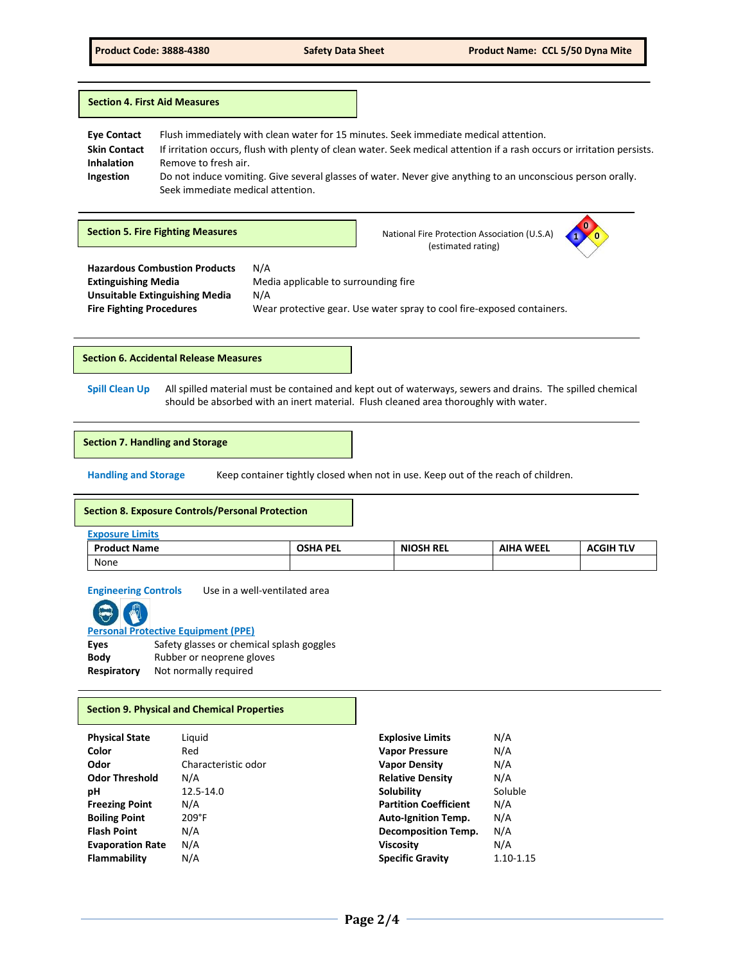|                                                                             | <b>Section 4. First Aid Measures</b>                                                                                                              |                                                                                                                                                                                                                                        |
|-----------------------------------------------------------------------------|---------------------------------------------------------------------------------------------------------------------------------------------------|----------------------------------------------------------------------------------------------------------------------------------------------------------------------------------------------------------------------------------------|
| <b>Eye Contact</b><br><b>Skin Contact</b><br><b>Inhalation</b><br>Ingestion | Flush immediately with clean water for 15 minutes. Seek immediate medical attention.<br>Remove to fresh air.<br>Seek immediate medical attention. | If irritation occurs, flush with plenty of clean water. Seek medical attention if a rash occurs or irritation persists.<br>Do not induce vomiting. Give several glasses of water. Never give anything to an unconscious person orally. |
|                                                                             |                                                                                                                                                   |                                                                                                                                                                                                                                        |

 **Hazardous Combustion Products** N/A **Extinguishing Media** Media applicable to surrounding fire **Unsuitable Extinguishing Media** N/A **Fire Fighting Procedures** Wear protective gear. Use water spray to cool fire-exposed containers. **Section 5. Fire Fighting Measures National Fire Protection Association (U.S.A) National Fire Protection Association (U.S.A)**  (estimated rating) **1 0 0**

**Section 6. Accidental Release Measures**

**Spill Clean Up** All spilled material must be contained and kept out of waterways, sewers and drains. The spilled chemical should be absorbed with an inert material. Flush cleaned area thoroughly with water.

#### **Section 7. Handling and Storage**

**Handling and Storage** Keep container tightly closed when not in use. Keep out of the reach of children.

#### **Section 8. Exposure Controls/Personal Protection**

| <b>Exposure Limits</b> |                 |                  |                  |                  |
|------------------------|-----------------|------------------|------------------|------------------|
| <b>Product Name</b>    | <b>OSHA PEL</b> | <b>NIOSH REL</b> | <b>AIHA WEEL</b> | <b>ACGIH TLV</b> |
| None                   |                 |                  |                  |                  |

**Engineering Controls** Use in a well-ventilated area



**Personal Protective Equipment (PPE)**

| Eyes        | Safety glasses or chemical splash goggles |
|-------------|-------------------------------------------|
| Bodv        | Rubber or neoprene gloves                 |
| Respiratory | Not normally required                     |

### **Section 9. Physical and Chemical Properties**

| <b>Physical State</b>   | Liquid              | <b>Explosive Limits</b>      | N/A       |
|-------------------------|---------------------|------------------------------|-----------|
| Color                   | Red                 | <b>Vapor Pressure</b>        | N/A       |
| Odor                    | Characteristic odor | <b>Vapor Density</b>         | N/A       |
| <b>Odor Threshold</b>   | N/A                 | <b>Relative Density</b>      | N/A       |
| рH                      | 12.5-14.0           | Solubility                   | Soluble   |
| <b>Freezing Point</b>   | N/A                 | <b>Partition Coefficient</b> | N/A       |
| <b>Boiling Point</b>    | 209°F               | <b>Auto-Ignition Temp.</b>   | N/A       |
| <b>Flash Point</b>      | N/A                 | <b>Decomposition Temp.</b>   | N/A       |
| <b>Evaporation Rate</b> | N/A                 | <b>Viscosity</b>             | N/A       |
| Flammability            | N/A                 | <b>Specific Gravity</b>      | 1.10-1.15 |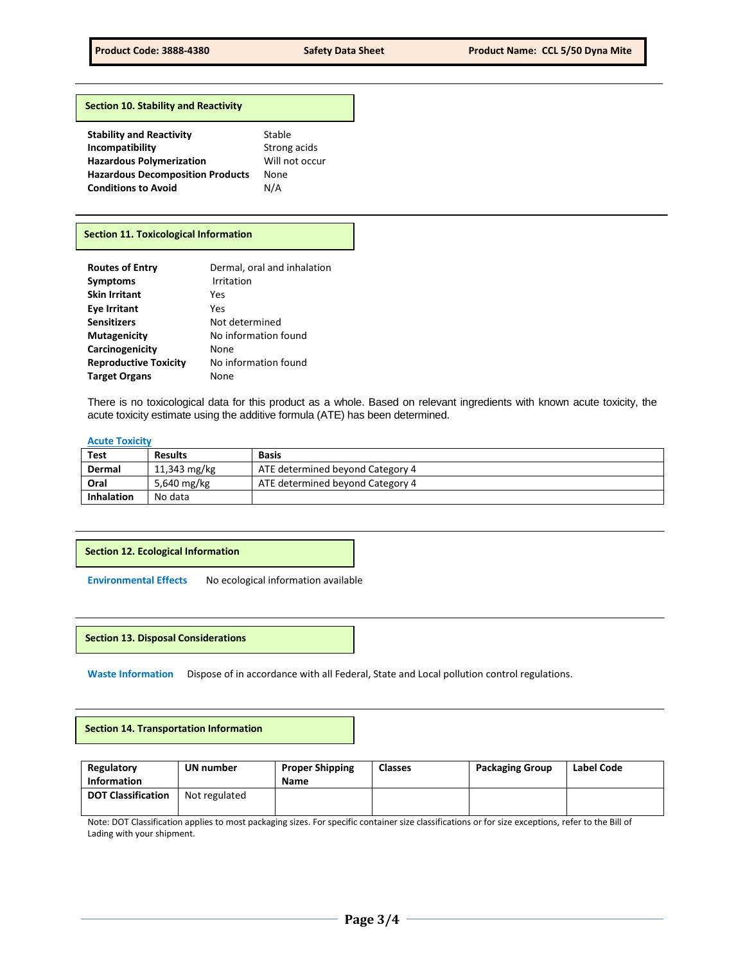#### **Section 10. Stability and Reactivity**

| Stable         |
|----------------|
| Strong acids   |
| Will not occur |
| None           |
| N/A            |
|                |

# **Section 11. Toxicological Information**

| <b>Routes of Entry</b>       | Dermal, oral and inhalation |
|------------------------------|-----------------------------|
| <b>Symptoms</b>              | Irritation                  |
| <b>Skin Irritant</b>         | Yes                         |
| <b>Eye Irritant</b>          | Yes                         |
| <b>Sensitizers</b>           | Not determined              |
| <b>Mutagenicity</b>          | No information found        |
| Carcinogenicity              | None                        |
| <b>Reproductive Toxicity</b> | No information found        |
| <b>Target Organs</b>         | None                        |

There is no toxicological data for this product as a whole. Based on relevant ingredients with known acute toxicity, the acute toxicity estimate using the additive formula (ATE) has been determined.

#### **Acute Toxicity**

| <b>Test</b>       | <b>Results</b> | <b>Basis</b>                     |
|-------------------|----------------|----------------------------------|
| Dermal            | 11,343 mg/kg   | ATE determined beyond Category 4 |
| Oral              | 5,640 mg/kg    | ATE determined beyond Category 4 |
| <b>Inhalation</b> | No data        |                                  |

#### **Section 12. Ecological Information**

**Environmental Effects** No ecological information available

**Section 13. Disposal Considerations** 

**Waste Information** Dispose of in accordance with all Federal, State and Local pollution control regulations.

**Section 14. Transportation Information** 

| Regulatory<br><b>Information</b> | UN number     | <b>Proper Shipping</b><br><b>Name</b> | <b>Classes</b> | <b>Packaging Group</b> | Label Code |
|----------------------------------|---------------|---------------------------------------|----------------|------------------------|------------|
| <b>DOT Classification</b>        | Not regulated |                                       |                |                        |            |

Note: DOT Classification applies to most packaging sizes. For specific container size classifications or for size exceptions, refer to the Bill of Lading with your shipment.